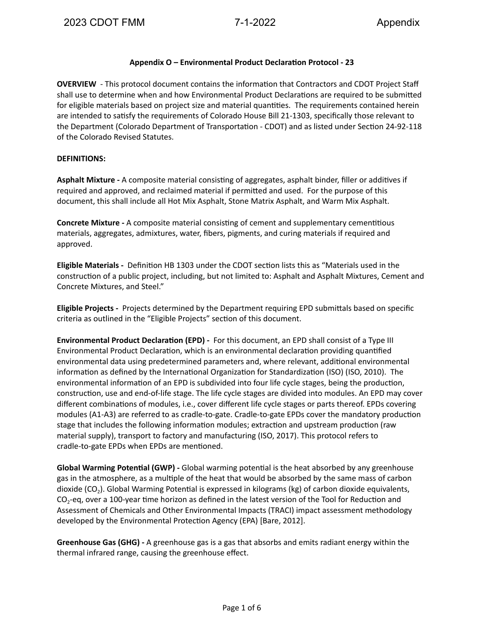# **Appendix O – Environmental Product Declaraon Protocol - 23**

**OVERVIEW** - This protocol document contains the information that Contractors and CDOT Project Staff shall use to determine when and how Environmental Product Declarations are required to be submitted for eligible materials based on project size and material quantities. The requirements contained herein are intended to satisfy the requirements of Colorado House Bill 21-1303, specifically those relevant to the Department (Colorado Department of Transportation - CDOT) and as listed under Section 24-92-118 of the Colorado Revised Statutes.

# **DEFINITIONS:**

Asphalt Mixture - A composite material consisting of aggregates, asphalt binder, filler or additives if required and approved, and reclaimed material if permitted and used. For the purpose of this document, this shall include all Hot Mix Asphalt, Stone Matrix Asphalt, and Warm Mix Asphalt.

**Concrete Mixture** - A composite material consisting of cement and supplementary cementitious materials, aggregates, admixtures, water, fibers, pigments, and curing materials if required and approved.

**Eligible Materials** - Definition HB 1303 under the CDOT section lists this as "Materials used in the construction of a public project, including, but not limited to: Asphalt and Asphalt Mixtures, Cement and Concrete Mixtures, and Steel."

**Eligible Projects** - Projects determined by the Department requiring EPD submittals based on specific criteria as outlined in the "Eligible Projects" section of this document.

**Environmental Product Declaration (EPD) -** For this document, an EPD shall consist of a Type III Environmental Product Declaration, which is an environmental declaration providing quantified environmental data using predetermined parameters and, where relevant, additional environmental information as defined by the International Organization for Standardization (ISO) (ISO, 2010). The environmental information of an EPD is subdivided into four life cycle stages, being the production, construction, use and end-of-life stage. The life cycle stages are divided into modules. An EPD may cover different combinations of modules, i.e., cover different life cycle stages or parts thereof. EPDs covering modules (A1-A3) are referred to as cradle-to-gate. Cradle-to-gate EPDs cover the mandatory production stage that includes the following information modules; extraction and upstream production (raw material supply), transport to factory and manufacturing (ISO, 2017). This protocol refers to cradle-to-gate EPDs when EPDs are mentioned.

**Global Warming Potential (GWP)** - Global warming potential is the heat absorbed by any greenhouse gas in the atmosphere, as a multiple of the heat that would be absorbed by the same mass of carbon dioxide (CO<sub>2</sub>). Global Warming Potential is expressed in kilograms (kg) of carbon dioxide equivalents,  $CO<sub>2</sub>$ -eq, over a 100-year time horizon as defined in the latest version of the Tool for Reduction and Assessment of Chemicals and Other Environmental Impacts (TRACI) impact assessment methodology developed by the Environmental Protection Agency (EPA) [Bare, 2012].

**Greenhouse Gas (GHG) -** A greenhouse gas is a gas that absorbs and emits radiant energy within the thermal infrared range, causing the greenhouse effect.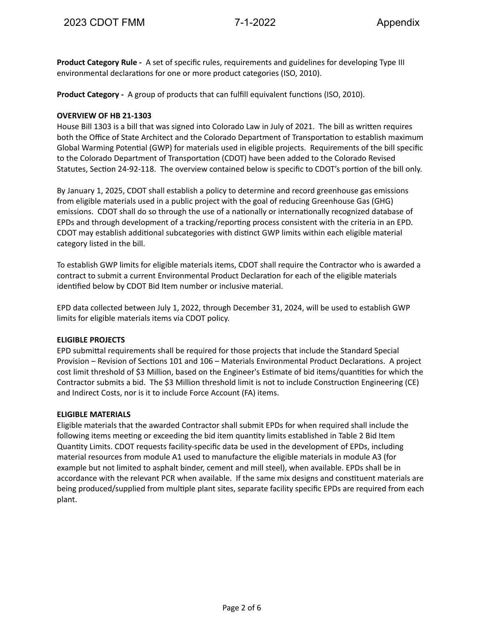**Product Category Rule -** A set of specific rules, requirements and guidelines for developing Type III environmental declarations for one or more product categories (ISO, 2010).

**Product Category -** A group of products that can fulfill equivalent functions (ISO, 2010).

# **OVERVIEW OF HB 21-1303**

House Bill 1303 is a bill that was signed into Colorado Law in July of 2021. The bill as written requires both the Office of State Architect and the Colorado Department of Transportation to establish maximum Global Warming Potential (GWP) for materials used in eligible projects. Requirements of the bill specific to the Colorado Department of Transportation (CDOT) have been added to the Colorado Revised Statutes, Section 24-92-118. The overview contained below is specific to CDOT's portion of the bill only.

By January 1, 2025, CDOT shall establish a policy to determine and record greenhouse gas emissions from eligible materials used in a public project with the goal of reducing Greenhouse Gas (GHG) emissions. CDOT shall do so through the use of a nationally or internationally recognized database of EPDs and through development of a tracking/reporting process consistent with the criteria in an EPD. CDOT may establish additional subcategories with distinct GWP limits within each eligible material category listed in the bill.

To establish GWP limits for eligible materials items, CDOT shall require the Contractor who is awarded a contract to submit a current Environmental Product Declaration for each of the eligible materials identified below by CDOT Bid Item number or inclusive material.

EPD data collected between July 1, 2022, through December 31, 2024, will be used to establish GWP limits for eligible materials items via CDOT policy.

# **ELIGIBLE PROJECTS**

EPD submittal requirements shall be required for those projects that include the Standard Special Provision – Revision of Sections 101 and 106 – Materials Environmental Product Declarations. A project cost limit threshold of \$3 Million, based on the Engineer's Estimate of bid items/quantities for which the Contractor submits a bid. The \$3 Million threshold limit is not to include Construction Engineering (CE) and Indirect Costs, nor is it to include Force Account (FA) items.

# **ELIGIBLE MATERIALS**

Eligible materials that the awarded Contractor shall submit EPDs for when required shall include the following items meeting or exceeding the bid item quantity limits established in Table 2 Bid Item Quantity Limits. CDOT requests facility-specific data be used in the development of EPDs, including material resources from module A1 used to manufacture the eligible materials in module A3 (for example but not limited to asphalt binder, cement and mill steel), when available. EPDs shall be in accordance with the relevant PCR when available. If the same mix designs and constituent materials are being produced/supplied from multiple plant sites, separate facility specific EPDs are required from each plant.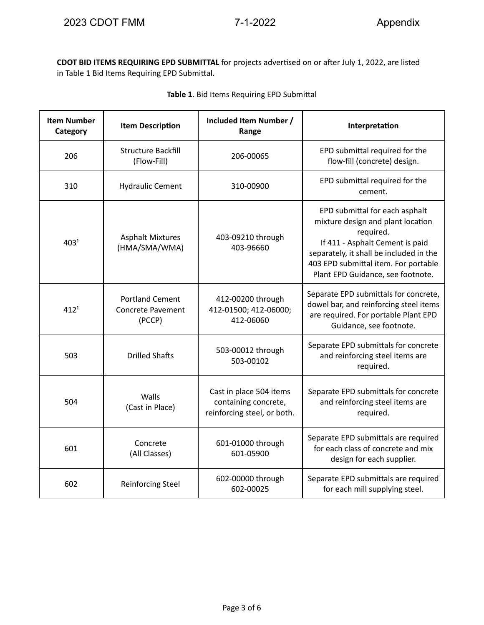**CDOT BID ITEMS REQUIRING EPD SUBMITTAL** for projects advertised on or after July 1, 2022, are listed in Table 1 Bid Items Requiring EPD Submittal.

| <b>Item Number</b><br>Category | <b>Item Description</b>                                      | Included Item Number /<br>Range                                                | Interpretation                                                                                                                                                                                                                              |
|--------------------------------|--------------------------------------------------------------|--------------------------------------------------------------------------------|---------------------------------------------------------------------------------------------------------------------------------------------------------------------------------------------------------------------------------------------|
| 206                            | <b>Structure Backfill</b><br>(Flow-Fill)                     | 206-00065                                                                      | EPD submittal required for the<br>flow-fill (concrete) design.                                                                                                                                                                              |
| 310                            | <b>Hydraulic Cement</b>                                      | 310-00900                                                                      | EPD submittal required for the<br>cement.                                                                                                                                                                                                   |
| 403 <sup>1</sup>               | <b>Asphalt Mixtures</b><br>(HMA/SMA/WMA)                     | 403-09210 through<br>403-96660                                                 | EPD submittal for each asphalt<br>mixture design and plant location<br>required.<br>If 411 - Asphalt Cement is paid<br>separately, it shall be included in the<br>403 EPD submittal item. For portable<br>Plant EPD Guidance, see footnote. |
| 412 <sup>1</sup>               | <b>Portland Cement</b><br><b>Concrete Pavement</b><br>(PCCP) | 412-00200 through<br>412-01500; 412-06000;<br>412-06060                        | Separate EPD submittals for concrete,<br>dowel bar, and reinforcing steel items<br>are required. For portable Plant EPD<br>Guidance, see footnote.                                                                                          |
| 503                            | <b>Drilled Shafts</b>                                        | 503-00012 through<br>503-00102                                                 | Separate EPD submittals for concrete<br>and reinforcing steel items are<br>required.                                                                                                                                                        |
| 504                            | Walls<br>(Cast in Place)                                     | Cast in place 504 items<br>containing concrete,<br>reinforcing steel, or both. | Separate EPD submittals for concrete<br>and reinforcing steel items are<br>required.                                                                                                                                                        |
| 601                            | Concrete<br>(All Classes)                                    | 601-01000 through<br>601-05900                                                 | Separate EPD submittals are required<br>for each class of concrete and mix<br>design for each supplier.                                                                                                                                     |
| 602                            | <b>Reinforcing Steel</b>                                     | 602-00000 through<br>602-00025                                                 | Separate EPD submittals are required<br>for each mill supplying steel.                                                                                                                                                                      |

|  |  |  |  |  | Table 1. Bid Items Requiring EPD Submittal |
|--|--|--|--|--|--------------------------------------------|
|--|--|--|--|--|--------------------------------------------|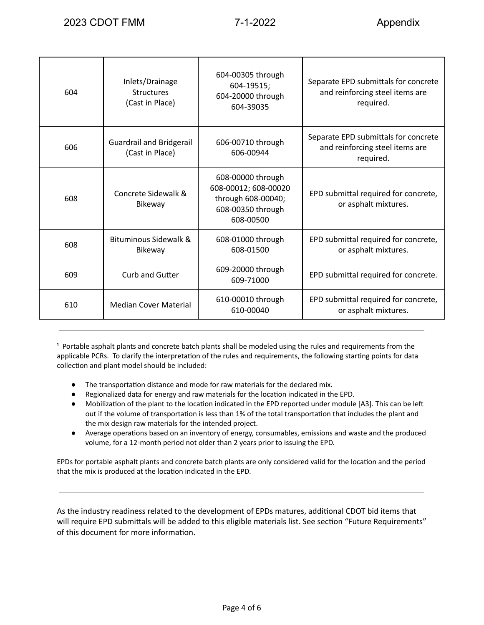| 604 | Inlets/Drainage<br><b>Structures</b><br>(Cast in Place) | 604-00305 through<br>604-19515;<br>604-20000 through<br>604-39035                                 | Separate EPD submittals for concrete<br>and reinforcing steel items are<br>required. |
|-----|---------------------------------------------------------|---------------------------------------------------------------------------------------------------|--------------------------------------------------------------------------------------|
| 606 | <b>Guardrail and Bridgerail</b><br>(Cast in Place)      | 606-00710 through<br>606-00944                                                                    | Separate EPD submittals for concrete<br>and reinforcing steel items are<br>required. |
| 608 | Concrete Sidewalk &<br>Bikeway                          | 608-00000 through<br>608-00012; 608-00020<br>through 608-00040;<br>608-00350 through<br>608-00500 | EPD submittal required for concrete,<br>or asphalt mixtures.                         |
| 608 | Bituminous Sidewalk &<br>Bikeway                        | 608-01000 through<br>608-01500                                                                    | EPD submittal required for concrete,<br>or asphalt mixtures.                         |
| 609 | <b>Curb and Gutter</b>                                  | 609-20000 through<br>609-71000                                                                    | EPD submittal required for concrete.                                                 |
| 610 | <b>Median Cover Material</b>                            | 610-00010 through<br>610-00040                                                                    | EPD submittal required for concrete,<br>or asphalt mixtures.                         |

<sup>1</sup> Portable asphalt plants and concrete batch plants shall be modeled using the rules and requirements from the applicable PCRs. To clarify the interpretation of the rules and requirements, the following starting points for data collection and plant model should be included:

- The transportation distance and mode for raw materials for the declared mix.
- Regionalized data for energy and raw materials for the location indicated in the EPD.
- Mobilization of the plant to the location indicated in the EPD reported under module [A3]. This can be left out if the volume of transportation is less than 1% of the total transportation that includes the plant and the mix design raw materials for the intended project.
- Average operations based on an inventory of energy, consumables, emissions and waste and the produced volume, for a 12-month period not older than 2 years prior to issuing the EPD.

EPDs for portable asphalt plants and concrete batch plants are only considered valid for the location and the period that the mix is produced at the location indicated in the EPD.

As the industry readiness related to the development of EPDs matures, additional CDOT bid items that will require EPD submittals will be added to this eligible materials list. See section "Future Requirements" of this document for more information.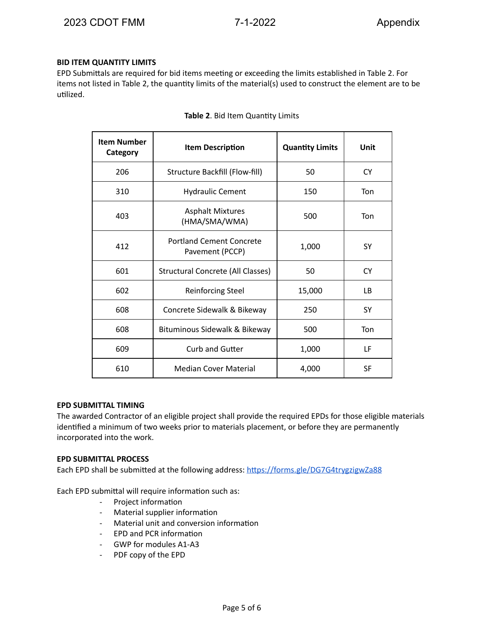# **BID ITEM QUANTITY LIMITS**

EPD Submittals are required for bid items meeting or exceeding the limits established in Table 2. For items not listed in Table 2, the quantity limits of the material(s) used to construct the element are to be utilized.

| <b>Item Number</b><br>Category | <b>Item Description</b>                            | <b>Quantity Limits</b> | Unit      |
|--------------------------------|----------------------------------------------------|------------------------|-----------|
| 206                            | Structure Backfill (Flow-fill)                     | 50                     | <b>CY</b> |
| 310                            | <b>Hydraulic Cement</b>                            | 150                    | Ton       |
| 403                            | <b>Asphalt Mixtures</b><br>(HMA/SMA/WMA)           | 500                    | Ton       |
| 412                            | <b>Portland Cement Concrete</b><br>Pavement (PCCP) | 1,000                  | <b>SY</b> |
| 601                            | Structural Concrete (All Classes)                  | 50                     | <b>CY</b> |
| 602                            | <b>Reinforcing Steel</b>                           | 15,000                 | ΙB.       |
| 608                            | Concrete Sidewalk & Bikeway                        | 250                    | <b>SY</b> |
| 608                            | Bituminous Sidewalk & Bikeway                      | 500                    | Ton       |
| 609                            | Curb and Gutter                                    | 1,000                  | LF        |
| 610                            | <b>Median Cover Material</b>                       | 4,000                  | <b>SF</b> |

### **Table 2. Bid Item Quantity Limits**

### **EPD SUBMITTAL TIMING**

The awarded Contractor of an eligible project shall provide the required EPDs for those eligible materials identified a minimum of two weeks prior to materials placement, or before they are permanently incorporated into the work.

### **EPD SUBMITTAL PROCESS**

Each EPD shall be submitted at the following address: https://forms.gle/DG7G4trygzigwZa88

Each EPD submittal will require information such as:

- Project information
- Material supplier information
- Material unit and conversion information
- EPD and PCR information
- GWP for modules A1-A3
- PDF copy of the EPD